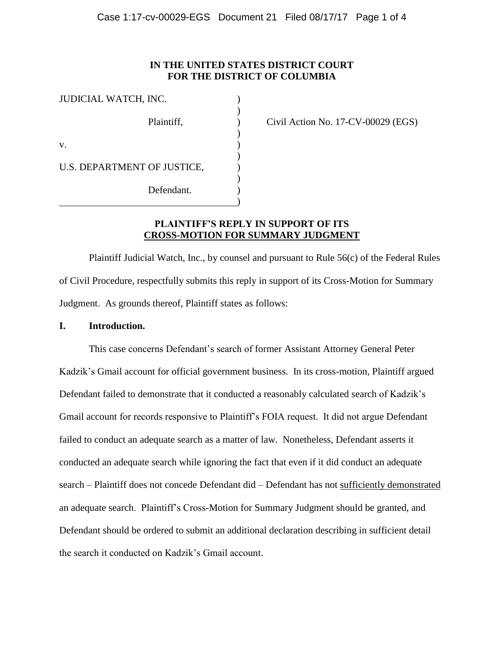## **IN THE UNITED STATES DISTRICT COURT FOR THE DISTRICT OF COLUMBIA**

| JUDICIAL WATCH, INC.        |  |
|-----------------------------|--|
| Plaintiff,                  |  |
| $V_{\cdot}$                 |  |
| U.S. DEPARTMENT OF JUSTICE, |  |
| Defendant.                  |  |

 $\text{Civil Action No. } 17\text{-CV-00029 (EGS)}$ 

#### **PLAINTIFF'S REPLY IN SUPPORT OF ITS CROSS-MOTION FOR SUMMARY JUDGMENT**

)

Plaintiff Judicial Watch, Inc., by counsel and pursuant to Rule 56(c) of the Federal Rules of Civil Procedure, respectfully submits this reply in support of its Cross-Motion for Summary Judgment. As grounds thereof, Plaintiff states as follows:

#### **I. Introduction.**

This case concerns Defendant's search of former Assistant Attorney General Peter Kadzik's Gmail account for official government business. In its cross-motion, Plaintiff argued Defendant failed to demonstrate that it conducted a reasonably calculated search of Kadzik's Gmail account for records responsive to Plaintiff's FOIA request. It did not argue Defendant failed to conduct an adequate search as a matter of law. Nonetheless, Defendant asserts it conducted an adequate search while ignoring the fact that even if it did conduct an adequate search – Plaintiff does not concede Defendant did – Defendant has not sufficiently demonstrated an adequate search. Plaintiff's Cross-Motion for Summary Judgment should be granted, and Defendant should be ordered to submit an additional declaration describing in sufficient detail the search it conducted on Kadzik's Gmail account.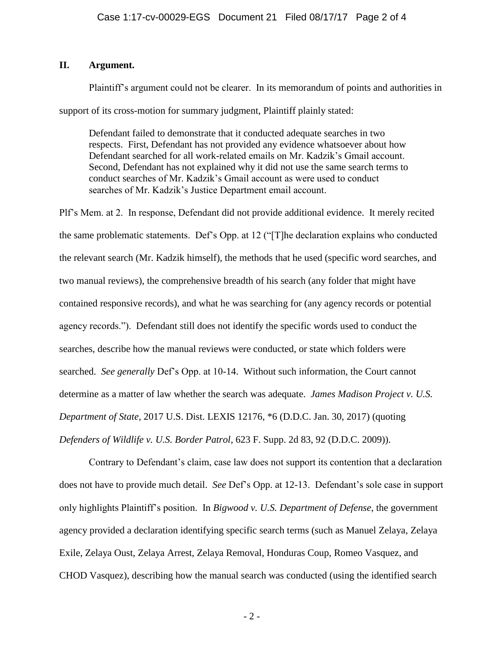## **II. Argument.**

Plaintiff's argument could not be clearer. In its memorandum of points and authorities in support of its cross-motion for summary judgment, Plaintiff plainly stated:

Defendant failed to demonstrate that it conducted adequate searches in two respects. First, Defendant has not provided any evidence whatsoever about how Defendant searched for all work-related emails on Mr. Kadzik's Gmail account. Second, Defendant has not explained why it did not use the same search terms to conduct searches of Mr. Kadzik's Gmail account as were used to conduct searches of Mr. Kadzik's Justice Department email account.

Plf's Mem. at 2. In response, Defendant did not provide additional evidence. It merely recited the same problematic statements. Def's Opp. at 12 ("[T]he declaration explains who conducted the relevant search (Mr. Kadzik himself), the methods that he used (specific word searches, and two manual reviews), the comprehensive breadth of his search (any folder that might have contained responsive records), and what he was searching for (any agency records or potential agency records."). Defendant still does not identify the specific words used to conduct the searches, describe how the manual reviews were conducted, or state which folders were searched. *See generally* Def's Opp. at 10-14. Without such information, the Court cannot determine as a matter of law whether the search was adequate. *James Madison Project v. U.S. Department of State*, 2017 U.S. Dist. LEXIS 12176, \*6 (D.D.C. Jan. 30, 2017) (quoting *Defenders of Wildlife v. U.S. Border Patrol*, 623 F. Supp. 2d 83, 92 (D.D.C. 2009)).

Contrary to Defendant's claim, case law does not support its contention that a declaration does not have to provide much detail. *See* Def's Opp. at 12-13. Defendant's sole case in support only highlights Plaintiff's position. In *Bigwood v. U.S. Department of Defense*, the government agency provided a declaration identifying specific search terms (such as Manuel Zelaya, Zelaya Exile, Zelaya Oust, Zelaya Arrest, Zelaya Removal, Honduras Coup, Romeo Vasquez, and CHOD Vasquez), describing how the manual search was conducted (using the identified search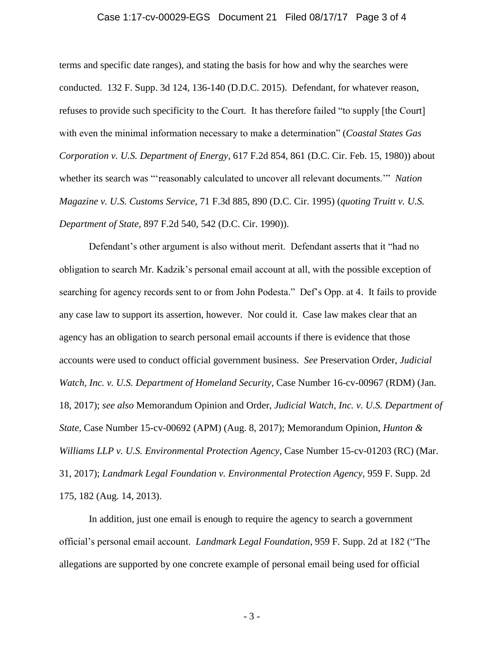#### Case 1:17-cv-00029-EGS Document 21 Filed 08/17/17 Page 3 of 4

terms and specific date ranges), and stating the basis for how and why the searches were conducted. 132 F. Supp. 3d 124, 136-140 (D.D.C. 2015). Defendant, for whatever reason, refuses to provide such specificity to the Court. It has therefore failed "to supply [the Court] with even the minimal information necessary to make a determination" (*Coastal States Gas Corporation v. U.S. Department of Energy*, 617 F.2d 854, 861 (D.C. Cir. Feb. 15, 1980)) about whether its search was "'reasonably calculated to uncover all relevant documents.'" *Nation Magazine v. U.S. Customs Service*, 71 F.3d 885, 890 (D.C. Cir. 1995) (*quoting Truitt v. U.S. Department of State*, 897 F.2d 540, 542 (D.C. Cir. 1990)).

Defendant's other argument is also without merit. Defendant asserts that it "had no obligation to search Mr. Kadzik's personal email account at all, with the possible exception of searching for agency records sent to or from John Podesta." Def's Opp. at 4. It fails to provide any case law to support its assertion, however. Nor could it. Case law makes clear that an agency has an obligation to search personal email accounts if there is evidence that those accounts were used to conduct official government business. *See* Preservation Order, *Judicial Watch, Inc. v. U.S. Department of Homeland Security*, Case Number 16-cv-00967 (RDM) (Jan. 18, 2017); *see also* Memorandum Opinion and Order, *Judicial Watch, Inc. v. U.S. Department of State*, Case Number 15-cv-00692 (APM) (Aug. 8, 2017); Memorandum Opinion, *Hunton & Williams LLP v. U.S. Environmental Protection Agency*, Case Number 15-cv-01203 (RC) (Mar. 31, 2017); *Landmark Legal Foundation v. Environmental Protection Agency*, 959 F. Supp. 2d 175, 182 (Aug. 14, 2013).

In addition, just one email is enough to require the agency to search a government official's personal email account. *Landmark Legal Foundation*, 959 F. Supp. 2d at 182 ("The allegations are supported by one concrete example of personal email being used for official